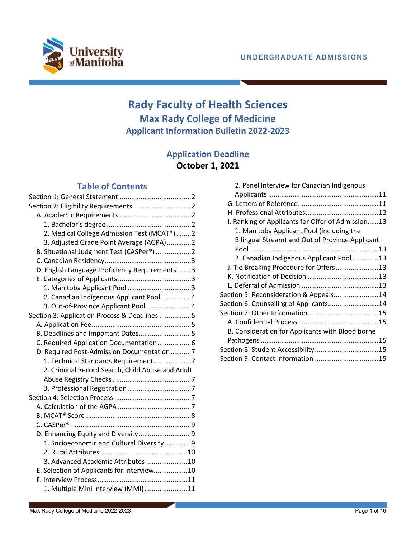

# **Rady Faculty of Health Sciences Max Rady College of Medicine Applicant Information Bulletin 2022-2023**

# **Application Deadline October 1, 2021**

# **Table of Contents**

| 2. Medical College Admission Test (MCAT <sup>®</sup> )2 |  |
|---------------------------------------------------------|--|
| 3. Adjusted Grade Point Average (AGPA)2                 |  |
| B. Situational Judgment Test (CASPer®)2                 |  |
|                                                         |  |
| D. English Language Proficiency Requirements3           |  |
|                                                         |  |
|                                                         |  |
| 2. Canadian Indigenous Applicant Pool 4                 |  |
| 3. Out-of-Province Applicant Pool4                      |  |
| Section 3: Application Process & Deadlines 5            |  |
|                                                         |  |
| B. Deadlines and Important Dates5                       |  |
| C. Required Application Documentation6                  |  |
| D. Required Post-Admission Documentation7               |  |
| 1. Technical Standards Requirement7                     |  |
| 2. Criminal Record Search, Child Abuse and Adult        |  |
|                                                         |  |
|                                                         |  |
|                                                         |  |
|                                                         |  |
|                                                         |  |
|                                                         |  |
|                                                         |  |
| 1. Socioeconomic and Cultural Diversity 9               |  |
|                                                         |  |
| 3. Advanced Academic Attributes 10                      |  |
| E. Selection of Applicants for Interview10              |  |
|                                                         |  |
| 1. Multiple Mini Interview (MMI)11                      |  |

| 2. Panel Interview for Canadian Indigenous        |  |
|---------------------------------------------------|--|
|                                                   |  |
|                                                   |  |
|                                                   |  |
| I. Ranking of Applicants for Offer of Admission13 |  |
| 1. Manitoba Applicant Pool (including the         |  |
| Bilingual Stream) and Out of Province Applicant   |  |
|                                                   |  |
| 2. Canadian Indigenous Applicant Pool 13          |  |
| J. Tie Breaking Procedure for Offers13            |  |
|                                                   |  |
|                                                   |  |
| Section 5: Reconsideration & Appeals14            |  |
| Section 6: Counselling of Applicants14            |  |
|                                                   |  |
|                                                   |  |
| B. Consideration for Applicants with Blood borne  |  |
|                                                   |  |
|                                                   |  |
|                                                   |  |
|                                                   |  |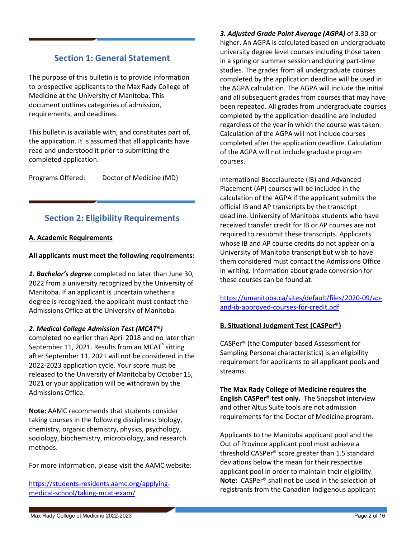## **Section 1: General Statement**

<span id="page-1-0"></span>The purpose of this bulletin is to provide information to prospective applicants to the Max Rady College of Medicine at the University of Manitoba. This document outlines categories of admission, requirements, and deadlines.

This bulletin is available with, and constitutes part of, the application. It is assumed that all applicants have read and understood it prior to submitting the completed application.

Programs Offered: Doctor of Medicine (MD)

# <span id="page-1-7"></span><span id="page-1-1"></span>**Section 2: Eligibility Requirements**

### <span id="page-1-2"></span>**A. Academic Requirements**

#### **All applicants must meet the following requirements:**

<span id="page-1-3"></span>*1. Bachelor's degree* completed no later than June 30, 2022 from a university recognized by the University of Manitoba. If an applicant is uncertain whether a degree is recognized, the applicant must contact the Admissions Office at the University of Manitoba.

#### <span id="page-1-4"></span>*2. Medical College Admission Test (MCAT®)*

completed no earlier than April 2018 and no later than September 11, 2021. Results from an MCAT® sitting after September 11, 2021 will not be considered in the 2022-2023 application cycle. Your score must be released to the University of Manitoba by October 15, 2021 or your application will be withdrawn by the Admissions Office.

**Note:** AAMC recommends that students consider taking courses in the following disciplines: biology, chemistry, organic chemistry, physics, psychology, sociology, biochemistry, microbiology, and research methods.

For more information, please visit the AAMC website:

[https://students-residents.aamc.org/applying](https://students-residents.aamc.org/applying-medical-school/taking-mcat-exam/)[medical-school/taking-mcat-exam/](https://students-residents.aamc.org/applying-medical-school/taking-mcat-exam/)

<span id="page-1-5"></span>*3. Adjusted Grade Point Average (AGPA)* of 3.30 or higher. An AGPA is calculated based on undergraduate university degree level courses including those taken in a spring or summer session and during part-time studies. The grades from all undergraduate courses completed by the application deadline will be used in the AGPA calculation. The AGPA will include the initial and all subsequent grades from courses that may have been repeated. All grades from undergraduate courses completed by the application deadline are included regardless of the year in which the course was taken. Calculation of the AGPA will not include courses completed after the application deadline. Calculation of the AGPA will not include graduate program courses.

International Baccalaureate (IB) and Advanced Placement (AP) courses will be included in the calculation of the AGPA if the applicant submits the official IB and AP transcripts by the transcript deadline. University of Manitoba students who have received transfer credit for IB or AP courses are not required to resubmit these transcripts. Applicants whose IB and AP course credits do not appear on a University of Manitoba transcript but wish to have them considered must contact the Admissions Office in writing. Information about grade conversion for these courses can be found at:

### [https://umanitoba.ca/sites/default/files/2020-09/ap](https://umanitoba.ca/sites/default/files/2020-09/ap-and-ib-approved-courses-for-credit.pdf)[and-ib-approved-courses-for-credit.pdf](https://umanitoba.ca/sites/default/files/2020-09/ap-and-ib-approved-courses-for-credit.pdf)

#### <span id="page-1-6"></span>**B. Situational Judgment Test (CASPer®)**

CASPer® (the Computer-based Assessment for Sampling Personal characteristics) is an eligibility requirement for applicants to all applicant pools and streams.

**The Max Rady College of Medicine requires the English CASPer® test only.** The Snapshot interview and other Altus Suite tools are not admission requirements for the Doctor of Medicine program**.**

Applicants to the Manitoba applicant pool and the Out of Province applicant pool must achieve a threshold CASPer® score greater than 1.5 standard deviations below the mean for their respective applicant pool in order to maintain their eligibility. **Note:** CASPer® shall not be used in the selection of registrants from the Canadian Indigenous applicant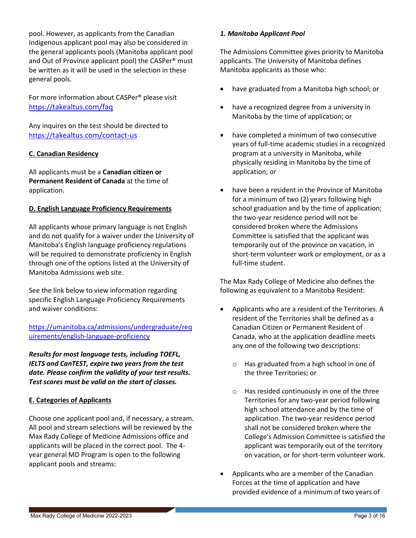pool. However, as applicants from the Canadian Indigenous applicant pool may also be considered in the general applicants pools (Manitoba applicant pool and Out of Province applicant pool) the CASPer® must be written as it will be used in the selection in these general pools.

For more information about CASPer® please visit <https://takealtus.com/faq>

Any inquires on the test should be directed to <https://takealtus.com/contact-us>

### <span id="page-2-0"></span>**C. Canadian Residency**

All applicants must be a **Canadian citizen or Permanent Resident of Canada** at the time of application.

### <span id="page-2-1"></span>**D. English Language Proficiency Requirements**

All applicants whose primary language is not English and do not qualify for a waiver under the University of Manitoba's English language proficiency regulations will be required to demonstrate proficiency in English through one of the options listed at the University of Manitoba Admissions web site.

See the link below to view information regarding specific English Language Proficiency Requirements and waiver conditions:

[https://umanitoba.ca/admissions/undergraduate/req](https://umanitoba.ca/admissions/undergraduate/requirements/english-language-proficiency) [uirements/english-language-proficiency](https://umanitoba.ca/admissions/undergraduate/requirements/english-language-proficiency)

*Results for most language tests, including TOEFL, IELTS and CanTEST, expire two years from the test date. Please confirm the validity of your test results. Test scores must be valid on the start of classes.*

### <span id="page-2-2"></span>**E. Categories of Applicants**

Choose one applicant pool and, if necessary, a stream. All pool and stream selections will be reviewed by the Max Rady College of Medicine Admissions office and applicants will be placed in the correct pool. The 4 year general MD Program is open to the following applicant pools and streams:

### <span id="page-2-3"></span>*1. Manitoba Applicant Pool*

The Admissions Committee gives priority to Manitoba applicants. The University of Manitoba defines Manitoba applicants as those who:

- have graduated from a Manitoba high school; or
- have a recognized degree from a university in Manitoba by the time of application; or
- have completed a minimum of two consecutive years of full-time academic studies in a recognized program at a university in Manitoba, while physically residing in Manitoba by the time of application; or
- have been a resident in the Province of Manitoba for a minimum of two (2) years following high school graduation and by the time of application; the two-year residence period will not be considered broken where the Admissions Committee is satisfied that the applicant was temporarily out of the province on vacation, in short-term volunteer work or employment, or as a full-time student.

The Max Rady College of Medicine also defines the following as equivalent to a Manitoba Resident:

- Applicants who are a resident of the Territories. A resident of the Territories shall be defined as a Canadian Citizen or Permanent Resident of Canada, who at the application deadline meets any one of the following two descriptions:
	- o Has graduated from a high school in one of the three Territories; or
	- o Has resided continuously in one of the three Territories for any two-year period following high school attendance and by the time of application. The two-year residence period shall not be considered broken where the College's Admission Committee is satisfied the applicant was temporarily out of the territory on vacation, or for short-term volunteer work.
- Applicants who are a member of the Canadian Forces at the time of application and have provided evidence of a minimum of two years of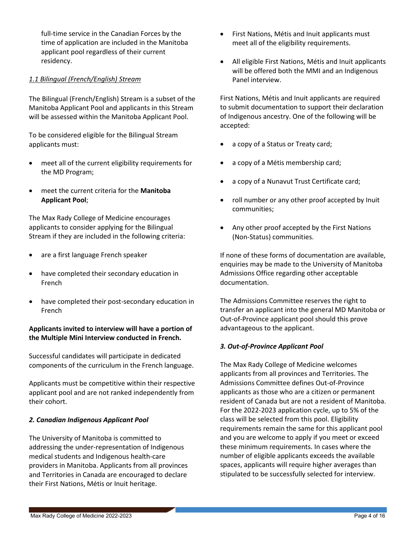full-time service in the Canadian Forces by the time of application are included in the Manitoba applicant pool regardless of their current residency.

### *1.1 Bilingual (French/English) Stream*

The Bilingual (French/English) Stream is a subset of the Manitoba Applicant Pool and applicants in this Stream will be assessed within the Manitoba Applicant Pool.

To be considered eligible for the Bilingual Stream applicants must:

- meet all of the current eligibility requirements for the MD Program;
- meet the current criteria for the **Manitoba Applicant Pool**;

The Max Rady College of Medicine encourages applicants to consider applying for the Bilingual Stream if they are included in the following criteria:

- are a first language French speaker
- have completed their secondary education in French
- have completed their post-secondary education in French

### **Applicants invited to interview will have a portion of the Multiple Mini Interview conducted in French.**

Successful candidates will participate in dedicated components of the curriculum in the French language.

Applicants must be competitive within their respective applicant pool and are not ranked independently from their cohort.

### <span id="page-3-0"></span>*2. Canadian Indigenous Applicant Pool*

The University of Manitoba is committed to addressing the under-representation of Indigenous medical students and Indigenous health-care providers in Manitoba. Applicants from all provinces and Territories in Canada are encouraged to declare their First Nations, Métis or Inuit heritage.

- First Nations, Métis and Inuit applicants must meet all of the eligibility requirements.
- All eligible First Nations, Métis and Inuit applicants will be offered both the MMI and an Indigenous Panel interview.

First Nations, Métis and Inuit applicants are required to submit documentation to support their declaration of Indigenous ancestry. One of the following will be accepted:

- a copy of a Status or Treaty card;
- a copy of a Métis membership card;
- a copy of a Nunavut Trust Certificate card;
- roll number or any other proof accepted by Inuit communities;
- Any other proof accepted by the First Nations (Non-Status) communities.

If none of these forms of documentation are available, enquiries may be made to the University of Manitoba Admissions Office regarding other acceptable documentation.

The Admissions Committee reserves the right to transfer an applicant into the general MD Manitoba or Out-of-Province applicant pool should this prove advantageous to the applicant.

### <span id="page-3-1"></span>*3. Out-of-Province Applicant Pool*

The Max Rady College of Medicine welcomes applicants from all provinces and Territories. The Admissions Committee defines Out-of-Province applicants as those who are a citizen or permanent resident of Canada but are not a resident of Manitoba. For the 2022-2023 application cycle, up to 5% of the class will be selected from this pool. Eligibility requirements remain the same for this applicant pool and you are welcome to apply if you meet or exceed these minimum requirements. In cases where the number of eligible applicants exceeds the available spaces, applicants will require higher averages than stipulated to be successfully selected for interview.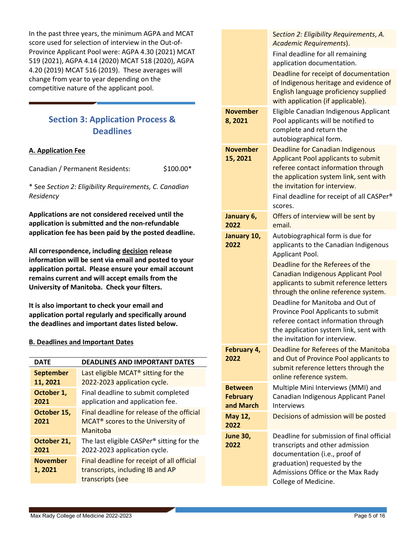In the past three years, the minimum AGPA and MCAT score used for selection of interview in the Out-of-Province Applicant Pool were: AGPA 4.30 (2021) MCAT 519 (2021), AGPA 4.14 (2020) MCAT 518 (2020), AGPA 4.20 (2019) MCAT 516 (2019). These averages will change from year to year depending on the competitive nature of the applicant pool.

# <span id="page-4-0"></span>**Section 3: Application Process & Deadlines**

### <span id="page-4-1"></span>**A. Application Fee**

Canadian / Permanent Residents: \$100.00\*

\* See *[Section 2: Eligibility Requirements,](#page-1-7) [C. Canadian](#page-2-0)  [Residency](#page-2-0)*

**Applications are not considered received until the application is submitted and the non-refundable application fee has been paid by the posted deadline.**

**All correspondence, including decision release information will be sent via email and posted to your application portal. Please ensure your email account remains current and will accept emails from the University of Manitoba. Check your filters.** 

**It is also important to check your email and application portal regularly and specifically around the deadlines and important dates listed below.**

### <span id="page-4-2"></span>**B. Deadlines and Important Dates**

| <b>DATE</b>                  | <b>DEADLINES AND IMPORTANT DATES</b>                                                                    |
|------------------------------|---------------------------------------------------------------------------------------------------------|
| <b>September</b><br>11, 2021 | Last eligible MCAT <sup>®</sup> sitting for the<br>2022-2023 application cycle.                         |
| October 1,<br>2021           | Final deadline to submit completed<br>application and application fee.                                  |
| October 15,<br>2021          | Final deadline for release of the official<br>MCAT <sup>®</sup> scores to the University of<br>Manitoba |
| October 21,<br>2021          | The last eligible CASPer <sup>®</sup> sitting for the<br>2022-2023 application cycle.                   |
| <b>November</b><br>1, 2021   | Final deadline for receipt of all official<br>transcripts, including IB and AP<br>transcripts (see      |

|                                                | Section 2: Eligibility Requirements, A.<br>Academic Requirements).                                                                                                                                                                                                   |
|------------------------------------------------|----------------------------------------------------------------------------------------------------------------------------------------------------------------------------------------------------------------------------------------------------------------------|
|                                                | Final deadline for all remaining<br>application documentation.                                                                                                                                                                                                       |
|                                                | Deadline for receipt of documentation<br>of Indigenous heritage and evidence of<br>English language proficiency supplied<br>with application (if applicable).                                                                                                        |
| <b>November</b><br>8,2021                      | Eligible Canadian Indigenous Applicant<br>Pool applicants will be notified to<br>complete and return the<br>autobiographical form.                                                                                                                                   |
| <b>November</b><br>15, 2021                    | Deadline for Canadian Indigenous<br><b>Applicant Pool applicants to submit</b><br>referee contact information through<br>the application system link, sent with<br>the invitation for interview.<br>Final deadline for receipt of all CASPer <sup>®</sup><br>scores. |
| January 6,<br>2022                             | Offers of interview will be sent by<br>email.                                                                                                                                                                                                                        |
| January 10,<br>2022                            | Autobiographical form is due for<br>applicants to the Canadian Indigenous<br>Applicant Pool.                                                                                                                                                                         |
|                                                | Deadline for the Referees of the<br><b>Canadian Indigenous Applicant Pool</b><br>applicants to submit reference letters<br>through the online reference system.                                                                                                      |
|                                                | Deadline for Manitoba and Out of<br>Province Pool Applicants to submit<br>referee contact information through<br>the application system link, sent with<br>the invitation for interview.                                                                             |
| February 4,<br>2022                            | Deadline for Referees of the Manitoba<br>and Out of Province Pool applicants to<br>submit reference letters through the<br>online reference system.                                                                                                                  |
| <b>Between</b><br><b>February</b><br>and March | Multiple Mini Interviews (MMI) and<br>Canadian Indigenous Applicant Panel<br>Interviews                                                                                                                                                                              |
| May 12,<br>2022                                | Decisions of admission will be posted                                                                                                                                                                                                                                |
| <b>June 30,</b><br>2022                        | Deadline for submission of final official<br>transcripts and other admission<br>documentation (i.e., proof of<br>graduation) requested by the<br>Admissions Office or the Max Rady<br>College of Medicine.                                                           |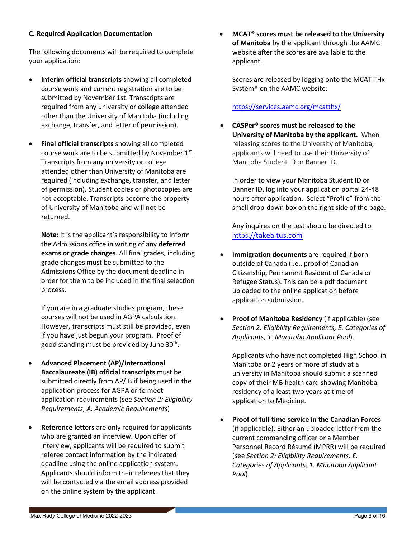### <span id="page-5-0"></span>**C. Required Application Documentation**

The following documents will be required to complete your application:

- **Interim official transcripts** showing all completed course work and current registration are to be submitted by November 1st. Transcripts are required from any university or college attended other than the University of Manitoba (including exchange, transfer, and letter of permission).
- **Final official transcripts** showing all completed course work are to be submitted by November  $1<sup>st</sup>$ . Transcripts from any university or college attended other than University of Manitoba are required (including exchange, transfer, and letter of permission). Student copies or photocopies are not acceptable. Transcripts become the property of University of Manitoba and will not be returned.

**Note:** It is the applicant's responsibility to inform the Admissions office in writing of any **deferred exams or grade changes**. All final grades, including grade changes must be submitted to the Admissions Office by the document deadline in order for them to be included in the final selection process.

If you are in a graduate studies program, these courses will not be used in AGPA calculation. However, transcripts must still be provided, even if you have just begun your program. Proof of good standing must be provided by June  $30<sup>th</sup>$ .

- **Advanced Placement (AP)/International Baccalaureate (IB) official transcripts** must be submitted directly from AP/IB if being used in the application process for AGPA or to meet application requirements (see *[Section 2: Eligibility](#page-1-1)  [Requirements,](#page-1-1) [A. Academic Requirements](#page-1-2)*)
- **Reference letters** are only required for applicants who are granted an interview. Upon offer of interview, applicants will be required to submit referee contact information by the indicated deadline using the online application system. Applicants should inform their referees that they will be contacted via the email address provided on the online system by the applicant.

• **MCAT® scores must be released to the University of Manitoba** by the applicant through the AAMC website after the scores are available to the applicant.

Scores are released by logging onto the MCAT THx System® on the AAMC website:

### <https://services.aamc.org/mcatthx/>

• **CASPer® scores must be released to the University of Manitoba by the applicant.** When releasing scores to the University of Manitoba, applicants will need to use their University of Manitoba Student ID or Banner ID.

In order to view your Manitoba Student ID or Banner ID, log into your application portal 24-48 hours after application. Select "Profile" from the small drop-down box on the right side of the page.

Any inquires on the test should be directed to [https://takealtus.com](https://takealtus.com/) 

- **Immigration documents** are required if born outside of Canada (i.e., proof of Canadian Citizenship, Permanent Resident of Canada or Refugee Status). This can be a pdf document uploaded to the online application before application submission.
- **Proof of Manitoba Residency** (if applicable) (see *[Section 2: Eligibility Requirements,](#page-1-1) [E. Categories of](#page-2-2)  [Applicants,](#page-2-2) [1. Manitoba Applicant Pool](#page-2-3)*).

Applicants who have not completed High School in Manitoba or 2 years or more of study at a university in Manitoba should submit a scanned copy of their MB health card showing Manitoba residency of a least two years at time of application to Medicine.

• **Proof of full-time service in the Canadian Forces**  (if applicable). Either an uploaded letter from the current commanding officer or a Member Personnel Record Résumé (MPRR) will be required (see *[Section 2: Eligibility Requirements,](#page-1-1) [E.](#page-2-2)  [Categories of Applicants,](#page-2-2) [1. Manitoba Applicant](#page-2-3)  [Pool](#page-2-3)*).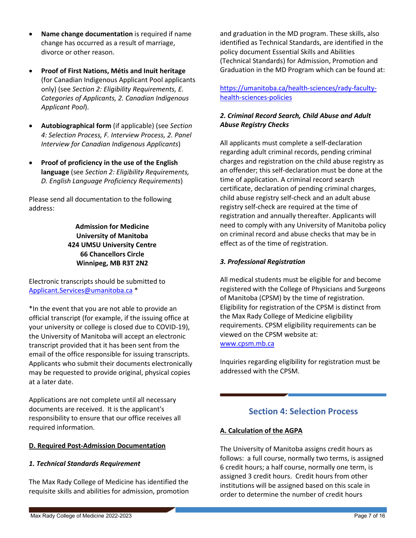- **Name change documentation** is required if name change has occurred as a result of marriage, divorce or other reason.
- **Proof of First Nations, Métis and Inuit heritage** (for Canadian Indigenous Applicant Pool applicants only) (see *[Section 2: Eligibility Requirements,](#page-1-1) [E.](#page-2-2)  [Categories of Applicants,](#page-2-2) [2. Canadian Indigenous](#page-3-0)  [Applicant Pool](#page-3-0)*).
- **Autobiographical form** (if applicable) (see *[Section](#page-6-4)  [4: Selection Process,](#page-6-4) [F. Interview Process,](#page-10-0) [2. Panel](#page-10-2)  [Interview for Canadian Indigenous Applicants](#page-10-2)*)
- **Proof of proficiency in the use of the English language** (see *[Section 2: Eligibility Requirements,](#page-1-1) [D. English Language Proficiency Requirements](#page-2-1)*)

Please send all documentation to the following address:

> **Admission for Medicine University of Manitoba 424 UMSU University Centre 66 Chancellors Circle Winnipeg, MB R3T 2N2**

Electronic transcripts should be submitted to [Applicant.Services@umanitoba.ca](mailto:Applicant.Services@umanitoba.ca) \*

\*In the event that you are not able to provide an official transcript (for example, if the issuing office at your university or college is closed due to COVID-19), the University of Manitoba will accept an electronic transcript provided that it has been sent from the email of the office responsible for issuing transcripts. Applicants who submit their documents electronically may be requested to provide original, physical copies at a later date.

Applications are not complete until all necessary documents are received. It is the applicant's responsibility to ensure that our office receives all required information.

### <span id="page-6-0"></span>**D. Required Post-Admission Documentation**

#### <span id="page-6-1"></span>*1. Technical Standards Requirement*

The Max Rady College of Medicine has identified the requisite skills and abilities for admission, promotion

and graduation in the MD program. These skills, also identified as Technical Standards, are identified in the policy document Essential Skills and Abilities (Technical Standards) for Admission, Promotion and Graduation in the MD Program which can be found at:

[https://umanitoba.ca/health-sciences/rady-faculty](https://umanitoba.ca/health-sciences/rady-faculty-health-sciences-policies)[health-sciences-policies](https://umanitoba.ca/health-sciences/rady-faculty-health-sciences-policies)

### <span id="page-6-2"></span>*2. Criminal Record Search, Child Abuse and Adult Abuse Registry Checks*

All applicants must complete a self-declaration regarding adult criminal records, pending criminal charges and registration on the child abuse registry as an offender; this self-declaration must be done at the time of application. A criminal record search certificate, declaration of pending criminal charges, child abuse registry self-check and an adult abuse registry self-check are required at the time of registration and annually thereafter. Applicants will need to comply with any University of Manitoba policy on criminal record and abuse checks that may be in effect as of the time of registration.

### <span id="page-6-3"></span>*3. Professional Registration*

All medical students must be eligible for and become registered with the College of Physicians and Surgeons of Manitoba (CPSM) by the time of registration. Eligibility for registration of the CPSM is distinct from the Max Rady College of Medicine eligibility requirements. CPSM eligibility requirements can be viewed on the CPSM website at: [www.cpsm.mb.ca](http://www.cpsm.mb.ca/)

Inquiries regarding eligibility for registration must be addressed with the CPSM.

## **Section 4: Selection Process**

#### <span id="page-6-5"></span><span id="page-6-4"></span>**A. Calculation of the AGPA**

The University of Manitoba assigns credit hours as follows: a full course, normally two terms, is assigned 6 credit hours; a half course, normally one term, is assigned 3 credit hours. Credit hours from other institutions will be assigned based on this scale in order to determine the number of credit hours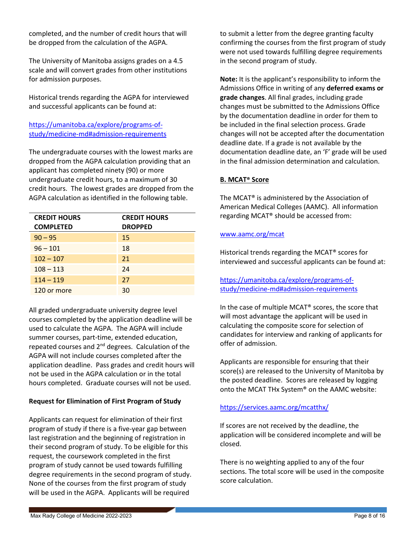completed, and the number of credit hours that will be dropped from the calculation of the AGPA.

The University of Manitoba assigns grades on a 4.5 scale and will convert grades from other institutions for admission purposes.

Historical trends regarding the AGPA for interviewed and successful applicants can be found at:

### [https://umanitoba.ca/explore/programs-of](https://umanitoba.ca/explore/programs-of-study/medicine-md#admission-requirements)[study/medicine-md#admission-requirements](https://umanitoba.ca/explore/programs-of-study/medicine-md#admission-requirements)

The undergraduate courses with the lowest marks are dropped from the AGPA calculation providing that an applicant has completed ninety (90) or more undergraduate credit hours, to a maximum of 30 credit hours. The lowest grades are dropped from the AGPA calculation as identified in the following table.

| <b>CREDIT HOURS</b> | <b>CREDIT HOURS</b> |
|---------------------|---------------------|
| <b>COMPLETED</b>    | <b>DROPPED</b>      |
| $90 - 95$           | 15                  |
| $96 - 101$          | 18                  |
| $102 - 107$         | 21                  |
| $108 - 113$         | 24                  |
| $114 - 119$         | 27                  |
| 120 or more         | 30                  |

All graded undergraduate university degree level courses completed by the application deadline will be used to calculate the AGPA. The AGPA will include summer courses, part-time, extended education, repeated courses and  $2^{nd}$  degrees. Calculation of the AGPA will not include courses completed after the application deadline. Pass grades and credit hours will not be used in the AGPA calculation or in the total hours completed. Graduate courses will not be used.

### **Request for Elimination of First Program of Study**

Applicants can request for elimination of their first program of study if there is a five-year gap between last registration and the beginning of registration in their second program of study. To be eligible for this request, the coursework completed in the first program of study cannot be used towards fulfilling degree requirements in the second program of study. None of the courses from the first program of study will be used in the AGPA. Applicants will be required

to submit a letter from the degree granting faculty confirming the courses from the first program of study were not used towards fulfilling degree requirements in the second program of study.

**Note:** It is the applicant's responsibility to inform the Admissions Office in writing of any **deferred exams or grade changes**. All final grades, including grade changes must be submitted to the Admissions Office by the documentation deadline in order for them to be included in the final selection process. Grade changes will not be accepted after the documentation deadline date. If a grade is not available by the documentation deadline date, an 'F' grade will be used in the final admission determination and calculation.

### <span id="page-7-0"></span>**B. MCAT® Score**

The MCAT® is administered by the Association of American Medical Colleges (AAMC). All information regarding MCAT® should be accessed from:

### [www.aamc.org/mcat](http://www.aamc.org/mcat)

Historical trends regarding the MCAT® scores for interviewed and successful applicants can be found at:

### [https://umanitoba.ca/explore/programs-of](https://umanitoba.ca/explore/programs-of-study/medicine-md#admission-requirements)[study/medicine-md#admission-requirements](https://umanitoba.ca/explore/programs-of-study/medicine-md#admission-requirements)

In the case of multiple MCAT® scores, the score that will most advantage the applicant will be used in calculating the composite score for selection of candidates for interview and ranking of applicants for offer of admission.

Applicants are responsible for ensuring that their score(s) are released to the University of Manitoba by the posted deadline. Scores are released by logging onto the MCAT THx System® on the AAMC website:

### <https://services.aamc.org/mcatthx/>

If scores are not received by the deadline, the application will be considered incomplete and will be closed.

There is no weighting applied to any of the four sections. The total score will be used in the composite score calculation.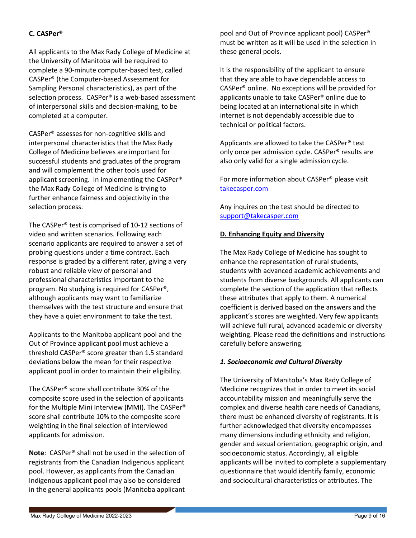### <span id="page-8-0"></span>**C. CASPer®**

All applicants to the Max Rady College of Medicine at the University of Manitoba will be required to complete a 90-minute computer-based test, called CASPer® (the Computer-based Assessment for Sampling Personal characteristics), as part of the selection process. CASPer® is a web-based assessment of interpersonal skills and decision-making, to be completed at a computer.

CASPer® assesses for non-cognitive skills and interpersonal characteristics that the Max Rady College of Medicine believes are important for successful students and graduates of the program and will complement the other tools used for applicant screening. In implementing the CASPer® the Max Rady College of Medicine is trying to further enhance fairness and objectivity in the selection process.

The CASPer® test is comprised of 10-12 sections of video and written scenarios. Following each scenario applicants are required to answer a set of probing questions under a time contract. Each response is graded by a different rater, giving a very robust and reliable view of personal and professional characteristics important to the program. No studying is required for CASPer®, although applicants may want to familiarize themselves with the test structure and ensure that they have a quiet environment to take the test.

Applicants to the Manitoba applicant pool and the Out of Province applicant pool must achieve a threshold CASPer® score greater than 1.5 standard deviations below the mean for their respective applicant pool in order to maintain their eligibility.

The CASPer® score shall contribute 30% of the composite score used in the selection of applicants for the Multiple Mini Interview (MMI). The CASPer® score shall contribute 10% to the composite score weighting in the final selection of interviewed applicants for admission.

**Note**: CASPer® shall not be used in the selection of registrants from the Canadian Indigenous applicant pool. However, as applicants from the Canadian Indigenous applicant pool may also be considered in the general applicants pools (Manitoba applicant

pool and Out of Province applicant pool) CASPer® must be written as it will be used in the selection in these general pools.

It is the responsibility of the applicant to ensure that they are able to have dependable access to CASPer® online. No exceptions will be provided for applicants unable to take CASPer® online due to being located at an international site in which internet is not dependably accessible due to technical or political factors.

Applicants are allowed to take the CASPer® test only once per admission cycle. CASPer® results are also only valid for a single admission cycle.

For more information about CASPer® please visit [takecasper.com](https://takecasper.com/)

Any inquires on the test should be directed to [support@takecasper.com](mailto:support@takecasper.com)

# <span id="page-8-1"></span>**D. Enhancing Equity and Diversity**

The Max Rady College of Medicine has sought to enhance the representation of rural students, students with advanced academic achievements and students from diverse backgrounds. All applicants can complete the section of the application that reflects these attributes that apply to them. A numerical coefficient is derived based on the answers and the applicant's scores are weighted. Very few applicants will achieve full rural, advanced academic or diversity weighting. Please read the definitions and instructions carefully before answering.

### <span id="page-8-2"></span>*1. Socioeconomic and Cultural Diversity*

The University of Manitoba's Max Rady College of Medicine recognizes that in order to meet its social accountability mission and meaningfully serve the complex and diverse health care needs of Canadians, there must be enhanced diversity of registrants. It is further acknowledged that diversity encompasses many dimensions including ethnicity and religion, gender and sexual orientation, geographic origin, and socioeconomic status. Accordingly, all eligible applicants will be invited to complete a supplementary questionnaire that would identify family, economic and sociocultural characteristics or attributes. The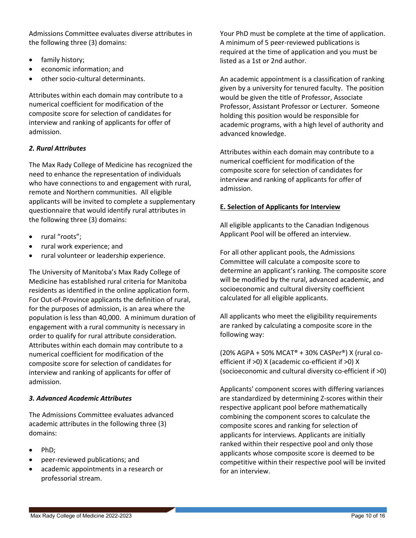Admissions Committee evaluates diverse attributes in the following three (3) domains:

- family history;
- economic information; and
- other socio-cultural determinants.

Attributes within each domain may contribute to a numerical coefficient for modification of the composite score for selection of candidates for interview and ranking of applicants for offer of admission.

### <span id="page-9-0"></span>*2. Rural Attributes*

The Max Rady College of Medicine has recognized the need to enhance the representation of individuals who have connections to and engagement with rural, remote and Northern communities. All eligible applicants will be invited to complete a supplementary questionnaire that would identify rural attributes in the following three (3) domains:

- rural "roots";
- rural work experience; and
- rural volunteer or leadership experience.

The University of Manitoba's Max Rady College of Medicine has established rural criteria for Manitoba residents as identified in the online application form. For Out-of-Province applicants the definition of rural, for the purposes of admission, is an area where the population is less than 40,000. A minimum duration of engagement with a rural community is necessary in order to qualify for rural attribute consideration. Attributes within each domain may contribute to a numerical coefficient for modification of the composite score for selection of candidates for interview and ranking of applicants for offer of admission.

### <span id="page-9-1"></span>*3. Advanced Academic Attributes*

The Admissions Committee evaluates advanced academic attributes in the following three (3) domains:

- PhD;
- peer-reviewed publications; and
- academic appointments in a research or professorial stream.

Your PhD must be complete at the time of application. A minimum of 5 peer-reviewed publications is required at the time of application and you must be listed as a 1st or 2nd author.

An academic appointment is a classification of ranking given by a university for tenured faculty. The position would be given the title of Professor, Associate Professor, Assistant Professor or Lecturer. Someone holding this position would be responsible for academic programs, with a high level of authority and advanced knowledge.

Attributes within each domain may contribute to a numerical coefficient for modification of the composite score for selection of candidates for interview and ranking of applicants for offer of admission.

### <span id="page-9-2"></span>**E. Selection of Applicants for Interview**

All eligible applicants to the Canadian Indigenous Applicant Pool will be offered an interview.

For all other applicant pools, the Admissions Committee will calculate a composite score to determine an applicant's ranking. The composite score will be modified by the rural, advanced academic, and socioeconomic and cultural diversity coefficient calculated for all eligible applicants.

All applicants who meet the eligibility requirements are ranked by calculating a composite score in the following way:

(20% AGPA + 50% MCAT<sup>®</sup> + 30% CASPer<sup>®</sup>) X (rural coefficient if >0) X (academic co-efficient if >0) X (socioeconomic and cultural diversity co-efficient if >0)

Applicants' component scores with differing variances are standardized by determining Z-scores within their respective applicant pool before mathematically combining the component scores to calculate the composite scores and ranking for selection of applicants for interviews. Applicants are initially ranked within their respective pool and only those applicants whose composite score is deemed to be competitive within their respective pool will be invited for an interview.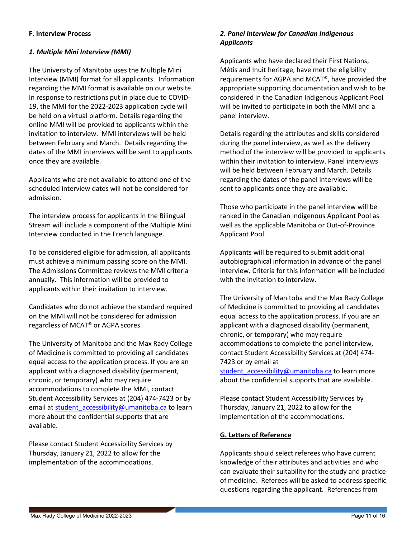### <span id="page-10-0"></span>**F. Interview Process**

#### <span id="page-10-1"></span>*1. Multiple Mini Interview (MMI)*

The University of Manitoba uses the Multiple Mini Interview (MMI) format for all applicants. Information regarding the MMI format is available on our website. In response to restrictions put in place due to COVID-19, the MMI for the 2022-2023 application cycle will be held on a virtual platform. Details regarding the online MMI will be provided to applicants within the invitation to interview. MMI interviews will be held between February and March. Details regarding the dates of the MMI interviews will be sent to applicants once they are available.

Applicants who are not available to attend one of the scheduled interview dates will not be considered for admission.

The interview process for applicants in the Bilingual Stream will include a component of the Multiple Mini Interview conducted in the French language.

To be considered eligible for admission, all applicants must achieve a minimum passing score on the MMI. The Admissions Committee reviews the MMI criteria annually. This information will be provided to applicants within their invitation to interview.

Candidates who do not achieve the standard required on the MMI will not be considered for admission regardless of MCAT® or AGPA scores.

The University of Manitoba and the Max Rady College of Medicine is committed to providing all candidates equal access to the application process. If you are an applicant with a diagnosed disability (permanent, chronic, or temporary) who may require accommodations to complete the MMI, contact Student Accessibility Services at (204) 474-7423 or by email at student accessibility@umanitoba.ca to learn more about the confidential supports that are available.

Please contact Student Accessibility Services by Thursday, January 21, 2022 to allow for the implementation of the accommodations.

### <span id="page-10-2"></span>*2. Panel Interview for Canadian Indigenous Applicants*

Applicants who have declared their First Nations, Métis and Inuit heritage, have met the eligibility requirements for AGPA and MCAT®, have provided the appropriate supporting documentation and wish to be considered in the Canadian Indigenous Applicant Pool will be invited to participate in both the MMI and a panel interview.

Details regarding the attributes and skills considered during the panel interview, as well as the delivery method of the interview will be provided to applicants within their invitation to interview. Panel interviews will be held between February and March. Details regarding the dates of the panel interviews will be sent to applicants once they are available.

Those who participate in the panel interview will be ranked in the Canadian Indigenous Applicant Pool as well as the applicable Manitoba or Out-of-Province Applicant Pool.

Applicants will be required to submit additional autobiographical information in advance of the panel interview. Criteria for this information will be included with the invitation to interview.

The University of Manitoba and the Max Rady College of Medicine is committed to providing all candidates equal access to the application process. If you are an applicant with a diagnosed disability (permanent, chronic, or temporary) who may require accommodations to complete the panel interview, contact Student Accessibility Services at (204) 474- 7423 or by email at

student accessibility@umanitoba.ca to learn more about the confidential supports that are available.

Please contact Student Accessibility Services by Thursday, January 21, 2022 to allow for the implementation of the accommodations.

#### <span id="page-10-3"></span>**G. Letters of Reference**

Applicants should select referees who have current knowledge of their attributes and activities and who can evaluate their suitability for the study and practice of medicine. Referees will be asked to address specific questions regarding the applicant. References from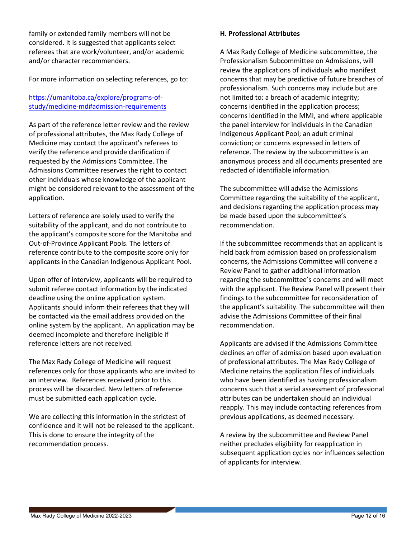family or extended family members will not be considered. It is suggested that applicants select referees that are work/volunteer, and/or academic and/or character recommenders.

For more information on selecting references, go to:

### [https://umanitoba.ca/explore/programs-of](https://umanitoba.ca/explore/programs-of-study/medicine-md#admission-requirements)[study/medicine-md#admission-requirements](https://umanitoba.ca/explore/programs-of-study/medicine-md#admission-requirements)

As part of the reference letter review and the review of professional attributes, the Max Rady College of Medicine may contact the applicant's referees to verify the reference and provide clarification if requested by the Admissions Committee. The Admissions Committee reserves the right to contact other individuals whose knowledge of the applicant might be considered relevant to the assessment of the application.

Letters of reference are solely used to verify the suitability of the applicant, and do not contribute to the applicant's composite score for the Manitoba and Out-of-Province Applicant Pools. The letters of reference contribute to the composite score only for applicants in the Canadian Indigenous Applicant Pool.

Upon offer of interview, applicants will be required to submit referee contact information by the indicated deadline using the online application system. Applicants should inform their referees that they will be contacted via the email address provided on the online system by the applicant. An application may be deemed incomplete and therefore ineligible if reference letters are not received.

The Max Rady College of Medicine will request references only for those applicants who are invited to an interview. References received prior to this process will be discarded. New letters of reference must be submitted each application cycle.

We are collecting this information in the strictest of confidence and it will not be released to the applicant. This is done to ensure the integrity of the recommendation process.

### <span id="page-11-0"></span>**H. Professional Attributes**

A Max Rady College of Medicine subcommittee, the Professionalism Subcommittee on Admissions, will review the applications of individuals who manifest concerns that may be predictive of future breaches of professionalism. Such concerns may include but are not limited to: a breach of academic integrity; concerns identified in the application process; concerns identified in the MMI, and where applicable the panel interview for individuals in the Canadian Indigenous Applicant Pool; an adult criminal conviction; or concerns expressed in letters of reference. The review by the subcommittee is an anonymous process and all documents presented are redacted of identifiable information.

The subcommittee will advise the Admissions Committee regarding the suitability of the applicant, and decisions regarding the application process may be made based upon the subcommittee's recommendation.

If the subcommittee recommends that an applicant is held back from admission based on professionalism concerns, the Admissions Committee will convene a Review Panel to gather additional information regarding the subcommittee's concerns and will meet with the applicant. The Review Panel will present their findings to the subcommittee for reconsideration of the applicant's suitability. The subcommittee will then advise the Admissions Committee of their final recommendation.

Applicants are advised if the Admissions Committee declines an offer of admission based upon evaluation of professional attributes. The Max Rady College of Medicine retains the application files of individuals who have been identified as having professionalism concerns such that a serial assessment of professional attributes can be undertaken should an individual reapply. This may include contacting references from previous applications, as deemed necessary.

A review by the subcommittee and Review Panel neither precludes eligibility for reapplication in subsequent application cycles nor influences selection of applicants for interview.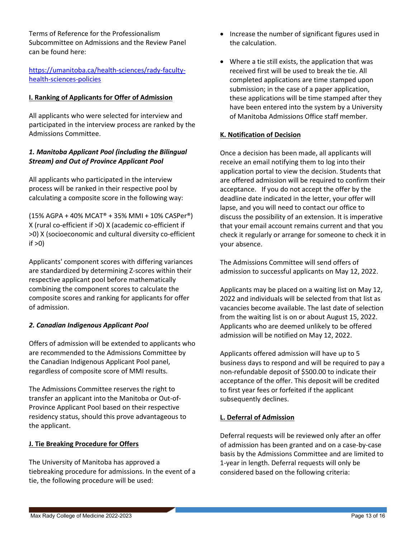Terms of Reference for the Professionalism Subcommittee on Admissions and the Review Panel can be found here:

### [https://umanitoba.ca/health-sciences/rady-faculty](https://umanitoba.ca/health-sciences/rady-faculty-health-sciences-policies)[health-sciences-policies](https://umanitoba.ca/health-sciences/rady-faculty-health-sciences-policies)

### <span id="page-12-0"></span>**I. Ranking of Applicants for Offer of Admission**

All applicants who were selected for interview and participated in the interview process are ranked by the Admissions Committee.

### <span id="page-12-1"></span>*1. Manitoba Applicant Pool (including the Bilingual Stream) and Out of Province Applicant Pool*

All applicants who participated in the interview process will be ranked in their respective pool by calculating a composite score in the following way:

 $(15\% AGPA + 40\% MCAT<sup>®</sup> + 35\% MMI + 10\% CASPer<sup>®</sup>)$ X (rural co-efficient if >0) X (academic co-efficient if >0) X (socioeconomic and cultural diversity co-efficient  $if >0)$ 

Applicants' component scores with differing variances are standardized by determining Z-scores within their respective applicant pool before mathematically combining the component scores to calculate the composite scores and ranking for applicants for offer of admission.

### <span id="page-12-2"></span>*2. Canadian Indigenous Applicant Pool*

Offers of admission will be extended to applicants who are recommended to the Admissions Committee by the Canadian Indigenous Applicant Pool panel, regardless of composite score of MMI results.

The Admissions Committee reserves the right to transfer an applicant into the Manitoba or Out-of-Province Applicant Pool based on their respective residency status, should this prove advantageous to the applicant.

### <span id="page-12-3"></span>**J. Tie Breaking Procedure for Offers**

The University of Manitoba has approved a tiebreaking procedure for admissions. In the event of a tie, the following procedure will be used:

- Increase the number of significant figures used in the calculation.
- Where a tie still exists, the application that was received first will be used to break the tie. All completed applications are time stamped upon submission; in the case of a paper application, these applications will be time stamped after they have been entered into the system by a University of Manitoba Admissions Office staff member.

### <span id="page-12-4"></span>**K. Notification of Decision**

Once a decision has been made, all applicants will receive an email notifying them to log into their application portal to view the decision. Students that are offered admission will be required to confirm their acceptance. If you do not accept the offer by the deadline date indicated in the letter, your offer will lapse, and you will need to contact our office to discuss the possibility of an extension. It is imperative that your email account remains current and that you check it regularly or arrange for someone to check it in your absence.

The Admissions Committee will send offers of admission to successful applicants on May 12, 2022.

Applicants may be placed on a waiting list on May 12, 2022 and individuals will be selected from that list as vacancies become available. The last date of selection from the waiting list is on or about August 15, 2022. Applicants who are deemed unlikely to be offered admission will be notified on May 12, 2022.

Applicants offered admission will have up to 5 business days to respond and will be required to pay a non-refundable deposit of \$500.00 to indicate their acceptance of the offer. This deposit will be credited to first year fees or forfeited if the applicant subsequently declines.

### <span id="page-12-5"></span>**L. Deferral of Admission**

Deferral requests will be reviewed only after an offer of admission has been granted and on a case-by-case basis by the Admissions Committee and are limited to 1-year in length. Deferral requests will only be considered based on the following criteria: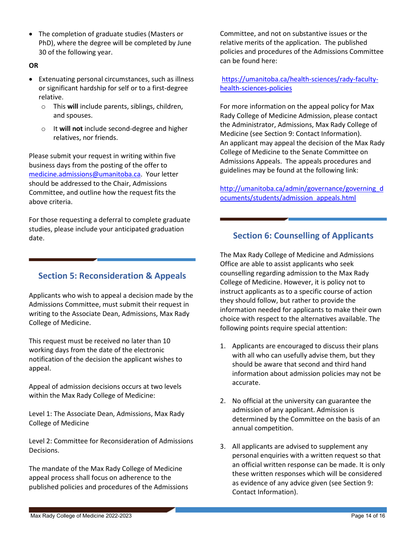• The completion of graduate studies (Masters or PhD), where the degree will be completed by June 30 of the following year.

### **OR**

- Extenuating personal circumstances, such as illness or significant hardship for self or to a first-degree relative.
	- o This **will** include parents, siblings, children, and spouses.
	- o It **will not** include second-degree and higher relatives, nor friends.

Please submit your request in writing within five business days from the posting of the offer to [medicine.admissions@umanitoba.ca.](mailto:medicine.admissions@umanitoba.ca) Your letter should be addressed to the Chair, Admissions Committee, and outline how the request fits the above criteria.

For those requesting a deferral to complete graduate studies, please include your anticipated graduation date.

# <span id="page-13-0"></span>**Section 5: Reconsideration & Appeals**

Applicants who wish to appeal a decision made by the Admissions Committee, must submit their request in writing to the Associate Dean, Admissions, Max Rady College of Medicine.

This request must be received no later than 10 working days from the date of the electronic notification of the decision the applicant wishes to appeal.

Appeal of admission decisions occurs at two levels within the Max Rady College of Medicine:

Level 1: The Associate Dean, Admissions, Max Rady College of Medicine

Level 2: Committee for Reconsideration of Admissions Decisions.

The mandate of the Max Rady College of Medicine appeal process shall focus on adherence to the published policies and procedures of the Admissions

Committee, and not on substantive issues or the relative merits of the application. The published policies and procedures of the Admissions Committee can be found here:

### [https://umanitoba.ca/health-sciences/rady-faculty](https://umanitoba.ca/health-sciences/rady-faculty-health-sciences-policies)[health-sciences-policies](https://umanitoba.ca/health-sciences/rady-faculty-health-sciences-policies)

For more information on the appeal policy for Max Rady College of Medicine Admission, please contact the Administrator, Admissions, Max Rady College of Medicine (see [Section 9: Contact Information\)](#page-14-4). An applicant may appeal the decision of the Max Rady College of Medicine to the Senate Committee on Admissions Appeals. The appeals procedures and guidelines may be found at the following link:

[http://umanitoba.ca/admin/governance/governing\\_d](http://umanitoba.ca/admin/governance/governing_documents/students/admission_appeals.html) [ocuments/students/admission\\_appeals.html](http://umanitoba.ca/admin/governance/governing_documents/students/admission_appeals.html)

# <span id="page-13-1"></span>**Section 6: Counselling of Applicants**

The Max Rady College of Medicine and Admissions Office are able to assist applicants who seek counselling regarding admission to the Max Rady College of Medicine. However, it is policy not to instruct applicants as to a specific course of action they should follow, but rather to provide the information needed for applicants to make their own choice with respect to the alternatives available. The following points require special attention:

- 1. Applicants are encouraged to discuss their plans with all who can usefully advise them, but they should be aware that second and third hand information about admission policies may not be accurate.
- 2. No official at the university can guarantee the admission of any applicant. Admission is determined by the Committee on the basis of an annual competition.
- 3. All applicants are advised to supplement any personal enquiries with a written request so that an official written response can be made. It is only these written responses which will be considered as evidence of any advice given (se[e Section 9:](#page-14-4)  [Contact Information\)](#page-14-4).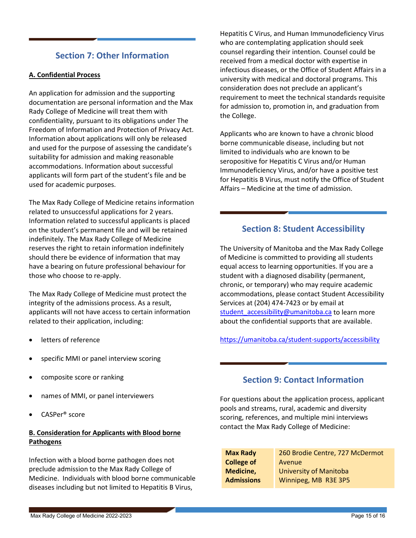# **Section 7: Other Information**

### <span id="page-14-1"></span><span id="page-14-0"></span>**A. Confidential Process**

An application for admission and the supporting documentation are personal information and the Max Rady College of Medicine will treat them with confidentiality, pursuant to its obligations under The Freedom of Information and Protection of Privacy Act. Information about applications will only be released and used for the purpose of assessing the candidate's suitability for admission and making reasonable accommodations. Information about successful applicants will form part of the student's file and be used for academic purposes.

The Max Rady College of Medicine retains information related to unsuccessful applications for 2 years. Information related to successful applicants is placed on the student's permanent file and will be retained indefinitely. The Max Rady College of Medicine reserves the right to retain information indefinitely should there be evidence of information that may have a bearing on future professional behaviour for those who choose to re-apply.

The Max Rady College of Medicine must protect the integrity of the admissions process. As a result, applicants will not have access to certain information related to their application, including:

- letters of reference
- specific MMI or panel interview scoring
- composite score or ranking
- names of MMI, or panel interviewers
- CASPer® score

### <span id="page-14-2"></span>**B. Consideration for Applicants with Blood borne Pathogens**

Infection with a blood borne pathogen does not preclude admission to the Max Rady College of Medicine. Individuals with blood borne communicable diseases including but not limited to Hepatitis B Virus,

Hepatitis C Virus, and Human Immunodeficiency Virus who are contemplating application should seek counsel regarding their intention. Counsel could be received from a medical doctor with expertise in infectious diseases, or the Office of Student Affairs in a university with medical and doctoral programs. This consideration does not preclude an applicant's requirement to meet the technical standards requisite for admission to, promotion in, and graduation from the College.

Applicants who are known to have a chronic blood borne communicable disease, including but not limited to individuals who are known to be seropositive for Hepatitis C Virus and/or Human Immunodeficiency Virus, and/or have a positive test for Hepatitis B Virus, must notify the Office of Student Affairs – Medicine at the time of admission.

# **Section 8: Student Accessibility**

<span id="page-14-3"></span>The University of Manitoba and the Max Rady College of Medicine is committed to providing all students equal access to learning opportunities. If you are a student with a diagnosed disability (permanent, chronic, or temporary) who may require academic accommodations, please contact Student Accessibility Services at (204) 474-7423 or by email at student accessibility@umanitoba.ca to learn more about the confidential supports that are available.

<https://umanitoba.ca/student-supports/accessibility>

# **Section 9: Contact Information**

<span id="page-14-4"></span>For questions about the application process, applicant pools and streams, rural, academic and diversity scoring, references, and multiple mini interviews contact the Max Rady College of Medicine:

**Max Rady College of Medicine, Admissions**

260 Brodie Centre, 727 McDermot Avenue University of Manitoba Winnipeg, MB R3E 3P5